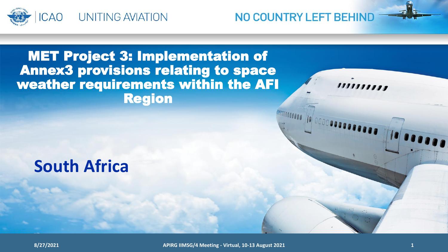

NO COUNTRY LEFT BEHIND

,,,,,,,,,,

### MET Project 3: Implementation of Annex3 provisions relating to space weather requirements within the AFI Region

# **South Africa**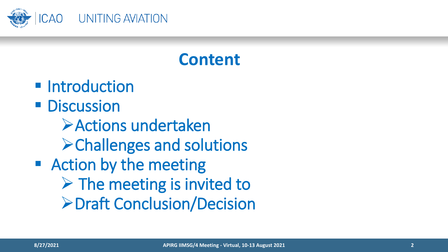

# **Content**

- **Introduction**
- **Discussion** 
	- Actions undertaken Challenges and solutions
- Action by the meeting
	- $\triangleright$  The meeting is invited to
		- **≻Draft Conclusion/Decision**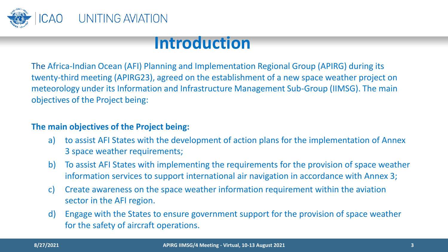

### **Introduction**

The Africa-Indian Ocean (AFI) Planning and Implementation Regional Group (APIRG) during its twenty-third meeting (APIRG23), agreed on the establishment of a new space weather project on meteorology under its Information and Infrastructure Management Sub-Group (IIMSG). The main objectives of the Project being:

#### **The main objectives of the Project being:**

- a) to assist AFI States with the development of action plans for the implementation of Annex 3 space weather requirements;
- b) To assist AFI States with implementing the requirements for the provision of space weather information services to support international air navigation in accordance with Annex 3;
- c) Create awareness on the space weather information requirement within the aviation sector in the AFI region.
- d) Engage with the States to ensure government support for the provision of space weather for the safety of aircraft operations.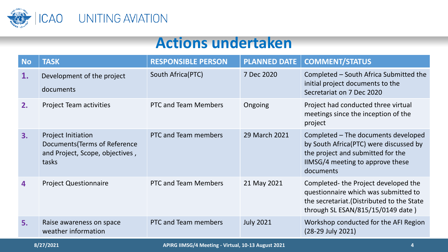

### **Actions undertaken**

| <b>No</b> | <b>TASK</b>                                                                                            | <b>RESPONSIBLE PERSON</b>   | <b>PLANNED DATE</b> | <b>COMMENT/STATUS</b>                                                                                                                                               |
|-----------|--------------------------------------------------------------------------------------------------------|-----------------------------|---------------------|---------------------------------------------------------------------------------------------------------------------------------------------------------------------|
| 1.        | Development of the project<br>documents                                                                | South Africa(PTC)           | 7 Dec 2020          | Completed - South Africa Submitted the<br>initial project documents to the<br>Secretariat on 7 Dec 2020                                                             |
| 2.        | <b>Project Team activities</b>                                                                         | <b>PTC and Team Members</b> | Ongoing             | Project had conducted three virtual<br>meetings since the inception of the<br>project                                                                               |
| 3.        | <b>Project Initiation</b><br>Documents (Terms of Reference<br>and Project, Scope, objectives,<br>tasks | PTC and Team members        | 29 March 2021       | Completed - The documents developed<br>by South Africa(PTC) were discussed by<br>the project and submitted for the<br>IIMSG/4 meeting to approve these<br>documents |
| 4         | <b>Project Questionnaire</b>                                                                           | <b>PTC and Team Members</b> | 21 May 2021         | Completed-the Project developed the<br>questionnaire which was submitted to<br>the secretariat. (Distributed to the State<br>through SL ESAN/815/15/0149 date)      |
| 5.        | Raise awareness on space<br>weather information                                                        | PTC and Team members        | <b>July 2021</b>    | Workshop conducted for the AFI Region<br>(28-29 July 2021)                                                                                                          |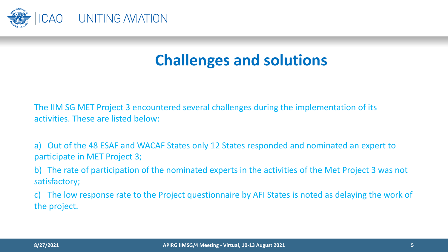

## **Challenges and solutions**

The IIM SG MET Project 3 encountered several challenges during the implementation of its activities. These are listed below:

a) Out of the 48 ESAF and WACAF States only 12 States responded and nominated an expert to participate in MET Project 3;

b) The rate of participation of the nominated experts in the activities of the Met Project 3 was not satisfactory;

c) The low response rate to the Project questionnaire by AFI States is noted as delaying the work of the project.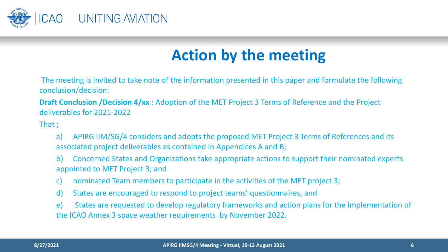

# **Action by the meeting**

The meeting is invited to take note of the information presented in this paper and formulate the following conclusion/decision:

**Draft Conclusion /Decision 4/xx** : Adoption of the MET Project 3 Terms of Reference and the Project deliverables for 2021-2022

That ;

- a) APIRG IIM/SG/4 considers and adopts the proposed MET Project 3 Terms of References and its associated project deliverables as contained in Appendices A and B;
- b) Concerned States and Organizations take appropriate actions to support their nominated experts appointed to MET Project 3; and
- c) nominated Team members to participate in the activities of the MET project 3;
- d) States are encouraged to respond to project teams' questionnaires, and

e) States are requested to develop regulatory frameworks and action plans for the implementation of the ICAO Annex 3 space weather requirements by November 2022.